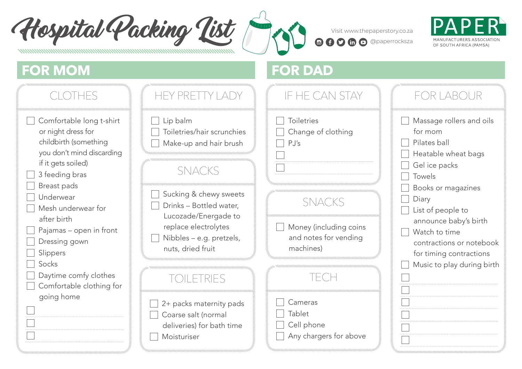Hospital Packing List @ Roomo@paperstory.co.za



## **FOR MOM FOR DAD**

| CLOTHES                                                                                                                                                                                                                                                                                                                                           | HEY PRETTY LADY                                                                                                                                                                                                                                                                                                                                     | IF HE CAN STAY                                                                                                                                                                                        | FOR LABOUR                                                                                                                                                                                                                                                                               |
|---------------------------------------------------------------------------------------------------------------------------------------------------------------------------------------------------------------------------------------------------------------------------------------------------------------------------------------------------|-----------------------------------------------------------------------------------------------------------------------------------------------------------------------------------------------------------------------------------------------------------------------------------------------------------------------------------------------------|-------------------------------------------------------------------------------------------------------------------------------------------------------------------------------------------------------|------------------------------------------------------------------------------------------------------------------------------------------------------------------------------------------------------------------------------------------------------------------------------------------|
| Comfortable long t-shirt<br>or night dress for<br>childbirth (something<br>you don't mind discarding<br>if it gets soiled)<br>3 feeding bras<br>Breast pads<br>Underwear<br>Mesh underwear for<br>after birth<br>Pajamas - open in front<br>Dressing gown<br>Slippers<br>Socks<br>Daytime comfy clothes<br>Comfortable clothing for<br>going home | Lip balm<br>Toiletries/hair scrunchies<br>Make-up and hair brush<br><b>SNACKS</b><br>Sucking & chewy sweets<br>Drinks - Bottled water,<br>Lucozade/Energade to<br>replace electrolytes<br>Nibbles - e.g. pretzels,<br>nuts, dried fruit<br>TOILETRIES<br>2+ packs maternity pads<br>Coarse salt (normal<br>deliveries) for bath time<br>Moisturiser | <b>Toiletries</b><br>Change of clothing<br>PJ's<br><b>SNACKS</b><br>Money (including coins<br>and notes for vending<br>machines)<br>TECH<br>Cameras<br>Tablet<br>Cell phone<br>Any chargers for above | Massage rollers and oils<br>for mom<br>Pilates ball<br>Heatable wheat bags<br>Gel ice packs<br>Towels<br>Books or magazines<br>Diary<br>List of people to<br>announce baby's birth<br>Watch to time<br>contractions or notebook<br>for timing contractions<br>Music to play during birth |
|                                                                                                                                                                                                                                                                                                                                                   |                                                                                                                                                                                                                                                                                                                                                     |                                                                                                                                                                                                       |                                                                                                                                                                                                                                                                                          |